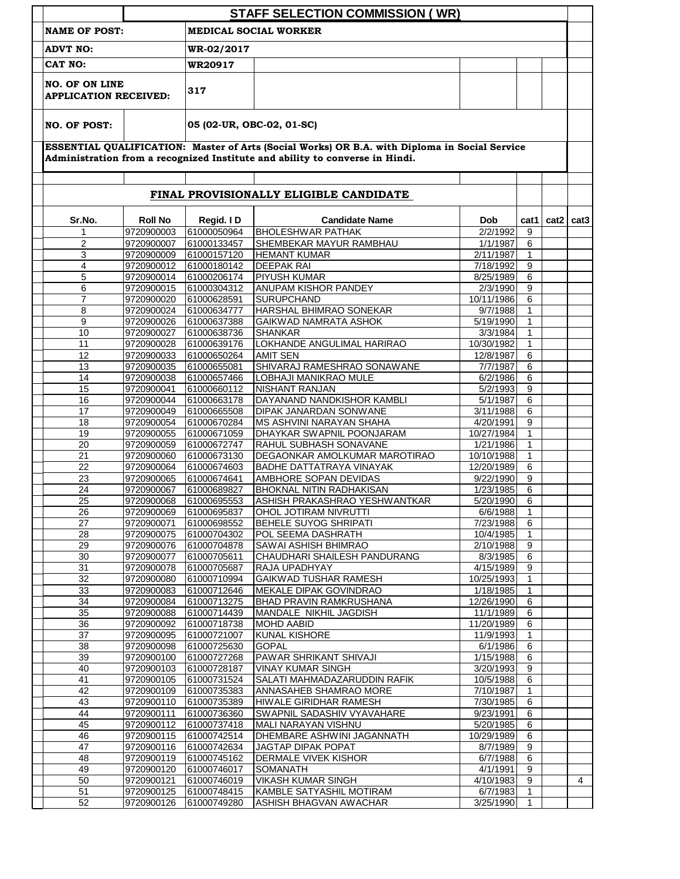|                                                                                                                                                                               | <b>STAFF SELECTION COMMISSION (WR)</b> |                |                                 |            |                |               |  |  |  |  |  |
|-------------------------------------------------------------------------------------------------------------------------------------------------------------------------------|----------------------------------------|----------------|---------------------------------|------------|----------------|---------------|--|--|--|--|--|
| <b>NAME OF POST:</b>                                                                                                                                                          |                                        |                | <b>MEDICAL SOCIAL WORKER</b>    |            |                |               |  |  |  |  |  |
| <b>ADVT NO:</b>                                                                                                                                                               |                                        | WR-02/2017     |                                 |            |                |               |  |  |  |  |  |
| CAT NO:                                                                                                                                                                       |                                        | <b>WR20917</b> |                                 |            |                |               |  |  |  |  |  |
| <b>NO. OF ON LINE</b><br><b>APPLICATION RECEIVED:</b>                                                                                                                         |                                        | 317            |                                 |            |                |               |  |  |  |  |  |
| <b>NO. OF POST:</b>                                                                                                                                                           |                                        |                | 05 (02-UR, OBC-02, 01-SC)       |            |                |               |  |  |  |  |  |
| ESSENTIAL QUALIFICATION: Master of Arts (Social Works) OR B.A. with Diploma in Social Service<br>Administration from a recognized Institute and ability to converse in Hindi. |                                        |                |                                 |            |                |               |  |  |  |  |  |
| FINAL PROVISIONALLY ELIGIBLE CANDIDATE                                                                                                                                        |                                        |                |                                 |            |                |               |  |  |  |  |  |
| Sr.No.                                                                                                                                                                        | <b>Roll No</b>                         | Regid. ID      | <b>Candidate Name</b>           | <b>Dob</b> | cat1           | $cat2$ $cat3$ |  |  |  |  |  |
| 1                                                                                                                                                                             | 9720900003                             | 61000050964    | <b>BHOLESHWAR PATHAK</b>        | 2/2/1992   | 9              |               |  |  |  |  |  |
| $\overline{2}$                                                                                                                                                                | 9720900007                             | 61000133457    | SHEMBEKAR MAYUR RAMBHAU         | 1/1/1987   | 6              |               |  |  |  |  |  |
| 3                                                                                                                                                                             | 9720900009                             | 61000157120    | <b>HEMANT KUMAR</b>             | 2/11/1987  | 1              |               |  |  |  |  |  |
| 4                                                                                                                                                                             | 9720900012                             | 61000180142    | <b>DEEPAK RAI</b>               | 7/18/1992  | 9              |               |  |  |  |  |  |
| 5                                                                                                                                                                             | 9720900014                             | 61000206174    | <b>PIYUSH KUMAR</b>             | 8/25/1989  | 6              |               |  |  |  |  |  |
| 6                                                                                                                                                                             | 9720900015                             | 61000304312    | ANUPAM KISHOR PANDEY            | 2/3/1990   | 9              |               |  |  |  |  |  |
| $\overline{7}$                                                                                                                                                                | 9720900020                             | 61000628591    | <b>SURUPCHAND</b>               | 10/11/1986 | 6              |               |  |  |  |  |  |
| 8                                                                                                                                                                             | 9720900024                             | 61000634777    | HARSHAL BHIMRAO SONEKAR         | 9/7/1988   | 1              |               |  |  |  |  |  |
| 9                                                                                                                                                                             | 9720900026                             | 61000637388    | GAIKWAD NAMRATA ASHOK           | 5/19/1990  | 1              |               |  |  |  |  |  |
| 10                                                                                                                                                                            | 9720900027                             | 61000638736    | <b>SHANKAR</b>                  | 3/3/1984   | 1              |               |  |  |  |  |  |
| 11                                                                                                                                                                            | 9720900028                             | 61000639176    | LOKHANDE ANGULIMAL HARIRAO      | 10/30/1982 | 1              |               |  |  |  |  |  |
| 12                                                                                                                                                                            | 9720900033                             | 61000650264    | <b>AMIT SEN</b>                 | 12/8/1987  | 6              |               |  |  |  |  |  |
| 13                                                                                                                                                                            | 9720900035                             | 61000655081    | SHIVARAJ RAMESHRAO SONAWANE     | 7/7/1987   | 6              |               |  |  |  |  |  |
| 14                                                                                                                                                                            | 9720900038                             | 61000657466    | LOBHAJI MANIKRAO MULE           | 6/2/1986   | 6              |               |  |  |  |  |  |
| 15                                                                                                                                                                            | 9720900041                             | 61000660112    | <b>NISHANT RANJAN</b>           | 5/2/1993   | 9              |               |  |  |  |  |  |
| 16                                                                                                                                                                            | 9720900044                             | 61000663178    | DAYANAND NANDKISHOR KAMBLI      | 5/1/1987   | 6              |               |  |  |  |  |  |
| 17                                                                                                                                                                            | 9720900049                             | 61000665508    | DIPAK JANARDAN SONWANE          | 3/11/1988  | 6              |               |  |  |  |  |  |
| 18                                                                                                                                                                            | 9720900054                             | 61000670284    | MS ASHVINI NARAYAN SHAHA        | 4/20/1991  | 9              |               |  |  |  |  |  |
| 19                                                                                                                                                                            | 9720900055                             | 61000671059    | DHAYKAR SWAPNIL POONJARAM       | 10/27/1984 | 1              |               |  |  |  |  |  |
| 20                                                                                                                                                                            | 9720900059                             | 61000672747    | RAHUL SUBHASH SONAVANE          | 1/21/1986  | 1              |               |  |  |  |  |  |
| 21                                                                                                                                                                            | 9720900060                             | 61000673130    | DEGAONKAR AMOLKUMAR MAROTIRAO   | 10/10/1988 | $\mathbf{1}$   |               |  |  |  |  |  |
| 22                                                                                                                                                                            | 9720900064                             | 61000674603    | <b>BADHE DATTATRAYA VINAYAK</b> | 12/20/1989 | 6              |               |  |  |  |  |  |
| 23                                                                                                                                                                            | 9720900065                             | 61000674641    | AMBHORE SOPAN DEVIDAS           | 9/22/1990  | 9              |               |  |  |  |  |  |
| 24                                                                                                                                                                            | 9720900067                             | 61000689827    | <b>BHOKNAL NITIN RADHAKISAN</b> | 1/23/1985  | 6              |               |  |  |  |  |  |
| 25                                                                                                                                                                            | 9720900068                             | 61000695553    | ASHISH PRAKASHRAO YESHWANTKAR   | 5/20/1990  | 6              |               |  |  |  |  |  |
| 26                                                                                                                                                                            | 9720900069                             | 61000695837    | OHOL JOTIRAM NIVRUTTI           | 6/6/1988   | 1              |               |  |  |  |  |  |
| 27                                                                                                                                                                            | 9720900071                             | 61000698552    | BEHELE SUYOG SHRIPATI           | 7/23/1988  | 6              |               |  |  |  |  |  |
| 28                                                                                                                                                                            | 9720900075                             | 61000704302    | POL SEEMA DASHRATH              | 10/4/1985  | 1              |               |  |  |  |  |  |
| 29                                                                                                                                                                            | 9720900076                             | 61000704878    | SAWAI ASHISH BHIMRAO            | 2/10/1988  | 9              |               |  |  |  |  |  |
| 30                                                                                                                                                                            | 9720900077                             | 61000705611    | CHAUDHARI SHAILESH PANDURANG    | 8/3/1985   | 6              |               |  |  |  |  |  |
| 31                                                                                                                                                                            | 9720900078                             | 61000705687    | RAJA UPADHYAY                   | 4/15/1989  | 9              |               |  |  |  |  |  |
| $\overline{32}$                                                                                                                                                               | 9720900080                             | 61000710994    | <b>GAIKWAD TUSHAR RAMESH</b>    | 10/25/1993 | 1              |               |  |  |  |  |  |
| 33                                                                                                                                                                            | 9720900083                             | 61000712646    | MEKALE DIPAK GOVINDRAO          | 1/18/1985  | 1              |               |  |  |  |  |  |
| 34                                                                                                                                                                            | 9720900084                             | 61000713275    | <b>BHAD PRAVIN RAMKRUSHANA</b>  | 12/26/1990 | 6              |               |  |  |  |  |  |
| 35                                                                                                                                                                            | 9720900088                             | 61000714439    | MANDALE NIKHIL JAGDISH          | 11/1/1989  | 6              |               |  |  |  |  |  |
| 36                                                                                                                                                                            | 9720900092                             | 61000718738    | <b>MOHD AABID</b>               | 11/20/1989 | 6              |               |  |  |  |  |  |
| 37                                                                                                                                                                            | 9720900095                             | 61000721007    | <b>KUNAL KISHORE</b>            | 11/9/1993  | 1              |               |  |  |  |  |  |
| 38                                                                                                                                                                            | 9720900098                             | 61000725630    | <b>GOPAL</b>                    | 6/1/1986   | 6              |               |  |  |  |  |  |
| 39                                                                                                                                                                            | 9720900100                             | 61000727268    | PAWAR SHRIKANT SHIVAJI          | 1/15/1988  | $\,6\,$        |               |  |  |  |  |  |
| 40                                                                                                                                                                            | 9720900103                             | 61000728187    | <b>VINAY KUMAR SINGH</b>        | 3/20/1993  | 9              |               |  |  |  |  |  |
| 41                                                                                                                                                                            | 9720900105                             | 61000731524    | SALATI MAHMADAZARUDDIN RAFIK    | 10/5/1988  | 6              |               |  |  |  |  |  |
| 42                                                                                                                                                                            | 9720900109                             | 61000735383    | ANNASAHEB SHAMRAO MORE          | 7/10/1987  | 1              |               |  |  |  |  |  |
| 43                                                                                                                                                                            | 9720900110                             | 61000735389    | HIWALE GIRIDHAR RAMESH          | 7/30/1985  | 6              |               |  |  |  |  |  |
| 44                                                                                                                                                                            | 9720900111                             | 61000736360    | SWAPNIL SADASHIV VYAVAHARE      | 9/23/1991  | 6              |               |  |  |  |  |  |
| 45                                                                                                                                                                            | 9720900112                             | 61000737418    | MALI NARAYAN VISHNU             | 5/20/1985  | $\overline{6}$ |               |  |  |  |  |  |
| 46                                                                                                                                                                            | 9720900115                             | 61000742514    | DHEMBARE ASHWINI JAGANNATH      | 10/29/1989 | $\,6\,$        |               |  |  |  |  |  |
| 47                                                                                                                                                                            | 9720900116                             | 61000742634    | JAGTAP DIPAK POPAT              | 8/7/1989   | 9              |               |  |  |  |  |  |
| 48                                                                                                                                                                            | 9720900119                             | 61000745162    | DERMALE VIVEK KISHOR            | 6/7/1988   | $\,6\,$        |               |  |  |  |  |  |
|                                                                                                                                                                               |                                        | 61000746017    | <b>SOMANATH</b>                 | 4/1/1991   | 9              |               |  |  |  |  |  |
| 49                                                                                                                                                                            | 9720900120                             |                |                                 |            |                |               |  |  |  |  |  |
| 50                                                                                                                                                                            | 9720900121                             | 61000746019    | <b>VIKASH KUMAR SINGH</b>       | 4/10/1983  | 9              |               |  |  |  |  |  |
| 51                                                                                                                                                                            | 9720900125                             | 61000748415    | KAMBLE SATYASHIL MOTIRAM        | 6/7/1983   | 1              |               |  |  |  |  |  |